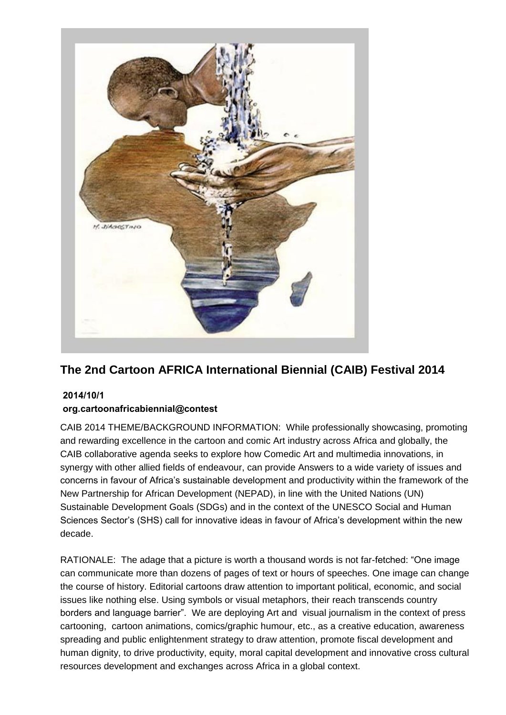

# **The 2nd Cartoon AFRICA International Biennial (CAIB) Festival 2014**

## **4112/11/1**

## org.cartoonafricabiennial@contest

CAIB 2014 THEME/BACKGROUND INFORMATION: While professionally showcasing, promoting and rewarding excellence in the cartoon and comic Art industry across Africa and globally, the CAIB collaborative agenda seeks to explore how Comedic Art and multimedia innovations, in synergy with other allied fields of endeavour, can provide Answers to a wide variety of issues and concerns in favour of Africa's sustainable development and productivity within the framework of the New Partnership for African Development (NEPAD), in line with the United Nations (UN) Sustainable Development Goals (SDGs) and in the context of the UNESCO Social and Human Sciences Sector's (SHS) call for innovative ideas in favour of Africa's development within the new decade.

RATIONALE: The adage that a picture is worth a thousand words is not far-fetched: "One image can communicate more than dozens of pages of text or hours of speeches. One image can change the course of history. Editorial cartoons draw attention to important political, economic, and social issues like nothing else. Using symbols or visual metaphors, their reach transcends country borders and language barrier". We are deploying Art and visual journalism in the context of press cartooning, cartoon animations, comics/graphic humour, etc., as a creative education, awareness spreading and public enlightenment strategy to draw attention, promote fiscal development and human dignity, to drive productivity, equity, moral capital development and innovative cross cultural resources development and exchanges across Africa in a global context.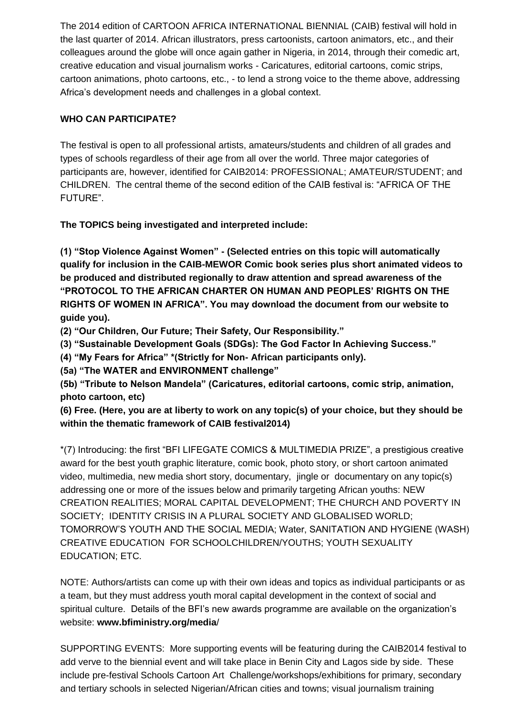The 2014 edition of CARTOON AFRICA INTERNATIONAL BIENNIAL (CAIB) festival will hold in the last quarter of 2014. African illustrators, press cartoonists, cartoon animators, etc., and their colleagues around the globe will once again gather in Nigeria, in 2014, through their comedic art, creative education and visual journalism works - Caricatures, editorial cartoons, comic strips, cartoon animations, photo cartoons, etc., - to lend a strong voice to the theme above, addressing Africa's development needs and challenges in a global context.

#### **WHO CAN PARTICIPATE?**

The festival is open to all professional artists, amateurs/students and children of all grades and types of schools regardless of their age from all over the world. Three major categories of participants are, however, identified for CAIB2014: PROFESSIONAL; AMATEUR/STUDENT; and CHILDREN. The central theme of the second edition of the CAIB festival is: "AFRICA OF THE FUTURE".

**The TOPICS being investigated and interpreted include:**

**(1) "Stop Violence Against Women" - (Selected entries on this topic will automatically qualify for inclusion in the CAIB-MEWOR Comic book series plus short animated videos to be produced and distributed regionally to draw attention and spread awareness of the "PROTOCOL TO THE AFRICAN CHARTER ON HUMAN AND PEOPLES' RIGHTS ON THE RIGHTS OF WOMEN IN AFRICA". You may download the document from our website to guide you).** 

**(2) "Our Children, Our Future; Their Safety, Our Responsibility."**

**(3) "Sustainable Development Goals (SDGs): The God Factor In Achieving Success."**

**(4) "My Fears for Africa" \*(Strictly for Non- African participants only).**

**(5a) "The WATER and ENVIRONMENT challenge"**

**(5b) "Tribute to Nelson Mandela" (Caricatures, editorial cartoons, comic strip, animation, photo cartoon, etc)**

**(6) Free. (Here, you are at liberty to work on any topic(s) of your choice, but they should be within the thematic framework of CAIB festival2014)**

\*(7) Introducing: the first "BFI LIFEGATE COMICS & MULTIMEDIA PRIZE", a prestigious creative award for the best youth graphic literature, comic book, photo story, or short cartoon animated video, multimedia, new media short story, documentary, jingle or documentary on any topic(s) addressing one or more of the issues below and primarily targeting African youths: NEW CREATION REALITIES; MORAL CAPITAL DEVELOPMENT; THE CHURCH AND POVERTY IN SOCIETY; IDENTITY CRISIS IN A PLURAL SOCIETY AND GLOBALISED WORLD; TOMORROW'S YOUTH AND THE SOCIAL MEDIA; Water, SANITATION AND HYGIENE (WASH) CREATIVE EDUCATION FOR SCHOOLCHILDREN/YOUTHS; YOUTH SEXUALITY EDUCATION; ETC.

NOTE: Authors/artists can come up with their own ideas and topics as individual participants or as a team, but they must address youth moral capital development in the context of social and spiritual culture. Details of the BFI's new awards programme are available on the organization's website: **[www.bfiministry.org/media](http://www.bfiministry.org/media)**/

SUPPORTING EVENTS: More supporting events will be featuring during the CAIB2014 festival to add verve to the biennial event and will take place in Benin City and Lagos side by side. These include pre-festival Schools Cartoon Art Challenge/workshops/exhibitions for primary, secondary and tertiary schools in selected Nigerian/African cities and towns; visual journalism training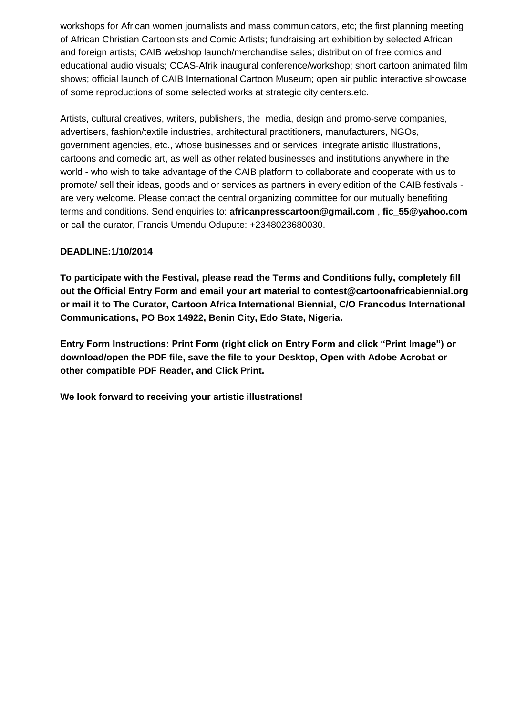workshops for African women journalists and mass communicators, etc; the first planning meeting of African Christian Cartoonists and Comic Artists; fundraising art exhibition by selected African and foreign artists; CAIB webshop launch/merchandise sales; distribution of free comics and educational audio visuals; CCAS-Afrik inaugural conference/workshop; short cartoon animated film shows; official launch of CAIB International Cartoon Museum; open air public interactive showcase of some reproductions of some selected works at strategic city centers.etc.

Artists, cultural creatives, writers, publishers, the media, design and promo-serve companies, advertisers, fashion/textile industries, architectural practitioners, manufacturers, NGOs, government agencies, etc., whose businesses and or services integrate artistic illustrations, cartoons and comedic art, as well as other related businesses and institutions anywhere in the world - who wish to take advantage of the CAIB platform to collaborate and cooperate with us to promote/ sell their ideas, goods and or services as partners in every edition of the CAIB festivals are very welcome. Please contact the central organizing committee for our mutually benefiting terms and conditions. Send enquiries to: **[africanpresscartoon@gmail.com](mailto:africanpresscartoon@gmail.com)** , **[fic\\_55@yahoo.com](mailto:fic_55@yahoo.com)** or call the curator, Francis Umendu Odupute: +2348023680030.

#### **DEADLINE:1/10/2014**

**To participate with the Festival, please read the Terms and Conditions fully, completely fill out the Official Entry Form and email your art material to [contest@cartoonafricabiennial.org](mailto:contest@cartoonafricabiennial.org) or mail it to The Curator, Cartoon Africa International Biennial, C/O Francodus International Communications, PO Box 14922, Benin City, Edo State, Nigeria.**

**Entry Form Instructions: Print Form (right click on Entry Form and click "Print Image") or download/open the PDF file, save the file to your Desktop, Open with Adobe Acrobat or other compatible PDF Reader, and Click Print.**

**We look forward to receiving your artistic illustrations!**